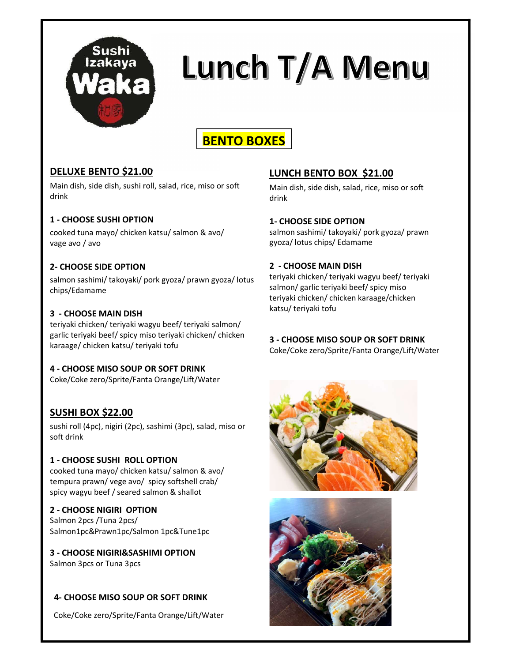

# Lunch T/A Menu

# BENTO BOXES

#### DELUXE BENTO \$21.00

Main dish, side dish, sushi roll, salad, rice, miso or soft drink

#### 1 - CHOOSE SUSHI OPTION

cooked tuna mayo/ chicken katsu/ salmon & avo/ vage avo / avo

#### 2- CHOOSE SIDE OPTION

salmon sashimi/ takoyaki/ pork gyoza/ prawn gyoza/ lotus chips/Edamame

#### 3 - CHOOSE MAIN DISH

teriyaki chicken/ teriyaki wagyu beef/ teriyaki salmon/ garlic teriyaki beef/ spicy miso teriyaki chicken/ chicken karaage/ chicken katsu/ teriyaki tofu

#### 4 - CHOOSE MISO SOUP OR SOFT DRINK

Coke/Coke zero/Sprite/Fanta Orange/Lift/Water

#### SUSHI BOX \$22.00

sushi roll (4pc), nigiri (2pc), sashimi (3pc), salad, miso or soft drink

#### 1 - CHOOSE SUSHI ROLL OPTION

cooked tuna mayo/ chicken katsu/ salmon & avo/ tempura prawn/ vege avo/ spicy softshell crab/ spicy wagyu beef / seared salmon & shallot

#### 2 - CHOOSE NIGIRI OPTION

Salmon 2pcs /Tuna 2pcs/ Salmon1pc&Prawn1pc/Salmon 1pc&Tune1pc

#### 3 - CHOOSE NIGIRI&SASHIMI OPTION

Salmon 3pcs or Tuna 3pcs

#### 4- CHOOSE MISO SOUP OR SOFT DRINK

Coke/Coke zero/Sprite/Fanta Orange/Lift/Water

#### LUNCH BENTO BOX \$21.00

Main dish, side dish, salad, rice, miso or soft drink

#### 1- CHOOSE SIDE OPTION

salmon sashimi/ takoyaki/ pork gyoza/ prawn gyoza/ lotus chips/ Edamame

#### 2 - CHOOSE MAIN DISH

teriyaki chicken/ teriyaki wagyu beef/ teriyaki salmon/ garlic teriyaki beef/ spicy miso teriyaki chicken/ chicken karaage/chicken katsu/ teriyaki tofu

#### 3 - CHOOSE MISO SOUP OR SOFT DRINK

Coke/Coke zero/Sprite/Fanta Orange/Lift/Water